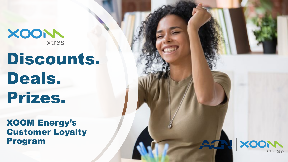XOON

# Discounts. Deals. Prizes.

XOOM Energy's Customer Loyalty Program

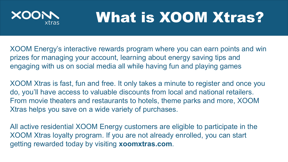

## What is XOOM Xtras?

XOOM Energy's interactive rewards program where you can earn points and win prizes for managing your account, learning about energy saving tips and engaging with us on social media all while having fun and playing games

XOOM Xtras is fast, fun and free. It only takes a minute to register and once you do, you'll have access to valuable discounts from local and national retailers. From movie theaters and restaurants to hotels, theme parks and more, XOOM Xtras helps you save on a wide variety of purchases.

All active residential XOOM Energy customers are eligible to participate in the XOOM Xtras loyalty program. If you are not already enrolled, you can start getting rewarded today by visiting **xoomxtras.com**.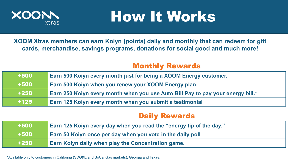

## How It Works

**XOOM Xtras members can earn Koiyn (points) daily and monthly that can redeem for gift cards, merchandise, savings programs, donations for social good and much more!** 

### Monthly Rewards

| $+500$ | <b>Earn 500 Koiyn every month just for being a XOOM Energy customer.</b>        |
|--------|---------------------------------------------------------------------------------|
| $+500$ | <b>Earn 500 Koiyn when you renew your XOOM Energy plan.</b>                     |
| $+250$ | Earn 250 Koiyn every month when you use Auto Bill Pay to pay your energy bill.* |
| $+125$ | Earn 125 Koiyn every month when you submit a testimonial                        |

### Daily Rewards

| $+500$ | Earn 125 Koiyn every day when you read the "energy tip of the day." |
|--------|---------------------------------------------------------------------|
| $+500$ | Earn 50 Koiyn once per day when you vote in the daily poll          |
| $+250$ | <b>Earn Koiyn daily when play the Concentration game.</b>           |

\*Available only to customers in California (SDG&E and SoCal Gas markets), Georgia and Texas.